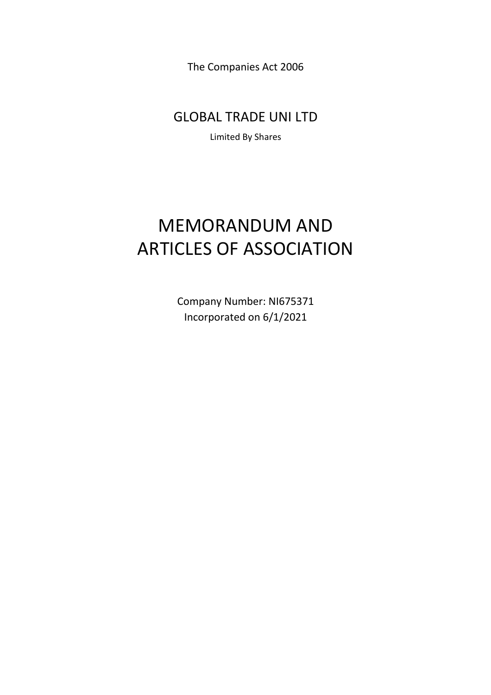The Companies Act 2006

GLOBAL TRADE UNI LTD

Limited By Shares

# MEMORANDUM AND ARTICLES OF ASSOCIATION

Company Number: NI675371 Incorporated on 6/1/2021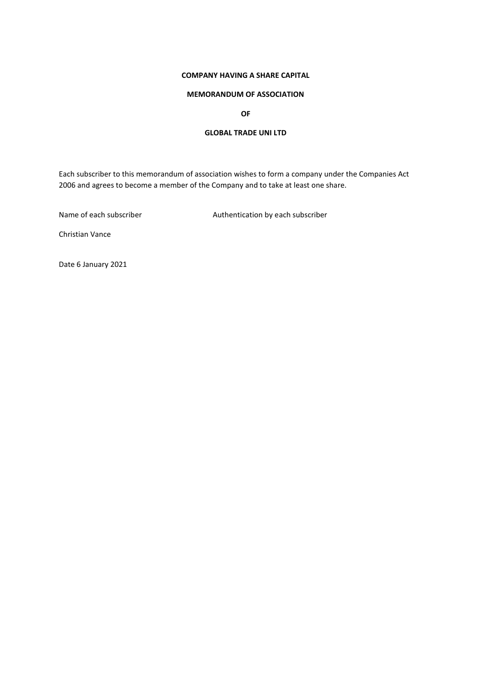# **COMPANY HAVING A SHARE CAPITAL**

## **MEMORANDUM OF ASSOCIATION**

#### **OF**

# **GLOBAL TRADE UNI LTD**

Each subscriber to this memorandum of association wishes to form a company under the Companies Act 2006 and agrees to become a member of the Company and to take at least one share.

Name of each subscriber **Authentication by each subscriber** Authentication by each subscriber

Christian Vance

Date 6 January 2021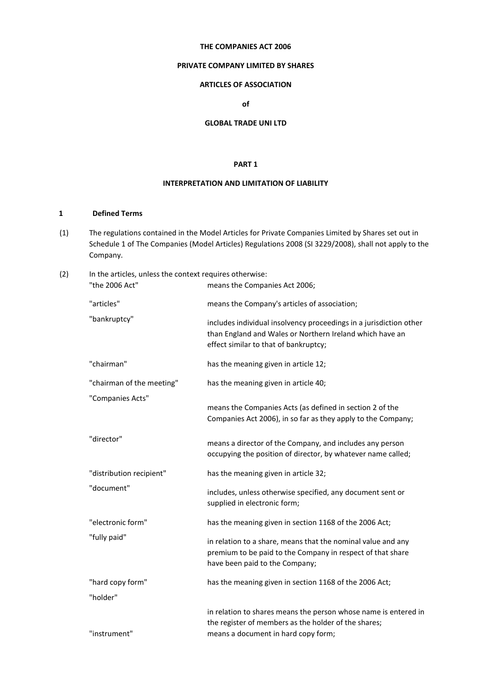#### **THE COMPANIES ACT 2006**

#### **PRIVATE COMPANY LIMITED BY SHARES**

#### **ARTICLES OF ASSOCIATION**

#### **of**

#### **GLOBAL TRADE UNI LTD**

#### **PART 1**

#### **INTERPRETATION AND LIMITATION OF LIABILITY**

## **1 Defined Terms**

- (1) The regulations contained in the Model Articles for Private Companies Limited by Shares set out in Schedule 1 of The Companies (Model Articles) Regulations 2008 (SI 3229/2008), shall not apply to the Company.
- (2) In the articles, unless the context requires otherwise: "the 2006 Act" means the Companies Act 2006; "articles" means the Company's articles of association; "bankruptcy" includes individual insolvency proceedings in a jurisdiction other than England and Wales or Northern Ireland which have an effect similar to that of bankruptcy; "chairman" has the meaning given in article 12; "chairman of the meeting" has the meaning given in article 40; "Companies Acts" means the Companies Acts (as defined in section 2 of the Companies Act 2006), in so far as they apply to the Company; "director" means a director of the Company, and includes any person occupying the position of director, by whatever name called; "distribution recipient" has the meaning given in article 32; "document" includes, unless otherwise specified, any document sent or supplied in electronic form; "electronic form" has the meaning given in section 1168 of the 2006 Act; "fully paid" in relation to a share, means that the nominal value and any premium to be paid to the Company in respect of that share have been paid to the Company; "hard copy form" has the meaning given in section 1168 of the 2006 Act; "holder" in relation to shares means the person whose name is entered in the register of members as the holder of the shares; "instrument" means a document in hard copy form;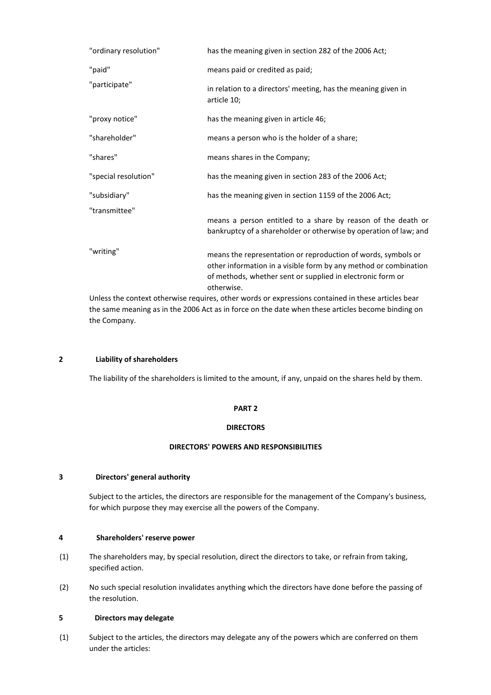| has the meaning given in section 282 of the 2006 Act;                                                                                                                                                         |
|---------------------------------------------------------------------------------------------------------------------------------------------------------------------------------------------------------------|
| means paid or credited as paid;                                                                                                                                                                               |
| in relation to a directors' meeting, has the meaning given in<br>article 10;                                                                                                                                  |
| has the meaning given in article 46;                                                                                                                                                                          |
| means a person who is the holder of a share;                                                                                                                                                                  |
| means shares in the Company;                                                                                                                                                                                  |
| has the meaning given in section 283 of the 2006 Act;                                                                                                                                                         |
| has the meaning given in section 1159 of the 2006 Act;                                                                                                                                                        |
| means a person entitled to a share by reason of the death or<br>bankruptcy of a shareholder or otherwise by operation of law; and                                                                             |
| means the representation or reproduction of words, symbols or<br>other information in a visible form by any method or combination<br>of methods, whether sent or supplied in electronic form or<br>otherwise. |
|                                                                                                                                                                                                               |

Unless the context otherwise requires, other words or expressions contained in these articles bear the same meaning as in the 2006 Act as in force on the date when these articles become binding on the Company.

## **2 Liability of shareholders**

The liability of the shareholders is limited to the amount, if any, unpaid on the shares held by them.

#### **PART 2**

#### **DIRECTORS**

#### **DIRECTORS' POWERS AND RESPONSIBILITIES**

#### **3 Directors' general authority**

Subject to the articles, the directors are responsible for the management of the Company's business, for which purpose they may exercise all the powers of the Company.

#### **4 Shareholders' reserve power**

- (1) The shareholders may, by special resolution, direct the directors to take, or refrain from taking, specified action.
- (2) No such special resolution invalidates anything which the directors have done before the passing of the resolution.

# **5 Directors may delegate**

(1) Subject to the articles, the directors may delegate any of the powers which are conferred on them under the articles: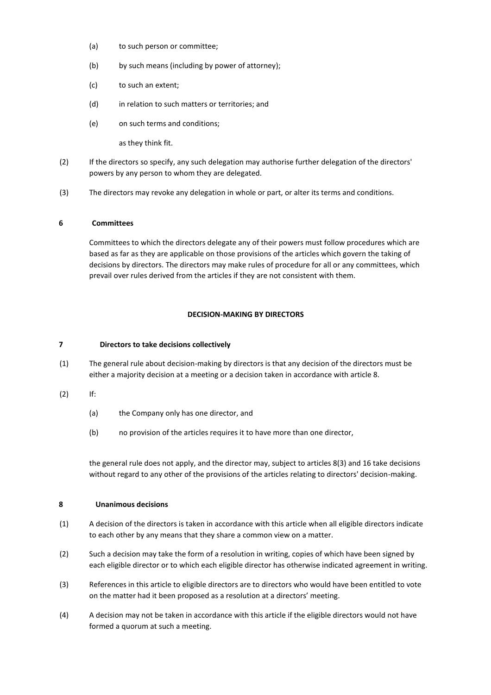- (a) to such person or committee;
- (b) by such means (including by power of attorney);
- (c) to such an extent;
- (d) in relation to such matters or territories; and
- (e) on such terms and conditions;

as they think fit.

- (2) If the directors so specify, any such delegation may authorise further delegation of the directors' powers by any person to whom they are delegated.
- (3) The directors may revoke any delegation in whole or part, or alter its terms and conditions.

# **6 Committees**

Committees to which the directors delegate any of their powers must follow procedures which are based as far as they are applicable on those provisions of the articles which govern the taking of decisions by directors. The directors may make rules of procedure for all or any committees, which prevail over rules derived from the articles if they are not consistent with them.

# **DECISION-MAKING BY DIRECTORS**

# **7 Directors to take decisions collectively**

- (1) The general rule about decision-making by directors is that any decision of the directors must be either a majority decision at a meeting or a decision taken in accordance with article 8.
- (2) If:
	- (a) the Company only has one director, and
	- (b) no provision of the articles requires it to have more than one director,

the general rule does not apply, and the director may, subject to articles 8(3) and 16 take decisions without regard to any other of the provisions of the articles relating to directors' decision-making.

# **8 Unanimous decisions**

- (1) A decision of the directors is taken in accordance with this article when all eligible directors indicate to each other by any means that they share a common view on a matter.
- (2) Such a decision may take the form of a resolution in writing, copies of which have been signed by each eligible director or to which each eligible director has otherwise indicated agreement in writing.
- (3) References in this article to eligible directors are to directors who would have been entitled to vote on the matter had it been proposed as a resolution at a directors' meeting.
- (4) A decision may not be taken in accordance with this article if the eligible directors would not have formed a quorum at such a meeting.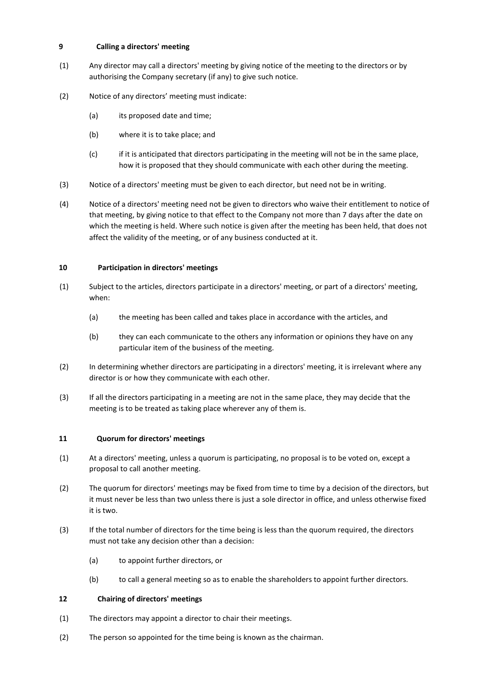# **9 Calling a directors' meeting**

- (1) Any director may call a directors' meeting by giving notice of the meeting to the directors or by authorising the Company secretary (if any) to give such notice.
- (2) Notice of any directors' meeting must indicate:
	- (a) its proposed date and time;
	- (b) where it is to take place; and
	- (c) if it is anticipated that directors participating in the meeting will not be in the same place, how it is proposed that they should communicate with each other during the meeting.
- (3) Notice of a directors' meeting must be given to each director, but need not be in writing.
- (4) Notice of a directors' meeting need not be given to directors who waive their entitlement to notice of that meeting, by giving notice to that effect to the Company not more than 7 days after the date on which the meeting is held. Where such notice is given after the meeting has been held, that does not affect the validity of the meeting, or of any business conducted at it.

## **10 Participation in directors' meetings**

- (1) Subject to the articles, directors participate in a directors' meeting, or part of a directors' meeting, when:
	- (a) the meeting has been called and takes place in accordance with the articles, and
	- (b) they can each communicate to the others any information or opinions they have on any particular item of the business of the meeting.
- (2) In determining whether directors are participating in a directors' meeting, it is irrelevant where any director is or how they communicate with each other.
- (3) If all the directors participating in a meeting are not in the same place, they may decide that the meeting is to be treated as taking place wherever any of them is.

## **11 Quorum for directors' meetings**

- (1) At a directors' meeting, unless a quorum is participating, no proposal is to be voted on, except a proposal to call another meeting.
- (2) The quorum for directors' meetings may be fixed from time to time by a decision of the directors, but it must never be less than two unless there is just a sole director in office, and unless otherwise fixed it is two.
- (3) If the total number of directors for the time being is less than the quorum required, the directors must not take any decision other than a decision:
	- (a) to appoint further directors, or
	- (b) to call a general meeting so as to enable the shareholders to appoint further directors.

## **12 Chairing of directors' meetings**

- (1) The directors may appoint a director to chair their meetings.
- (2) The person so appointed for the time being is known as the chairman.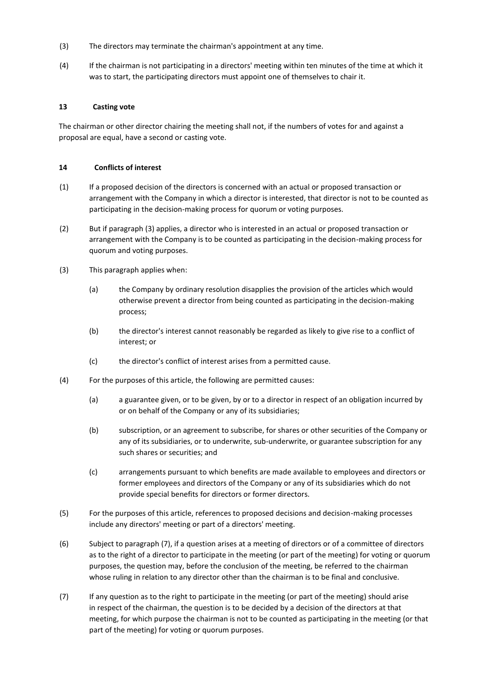- (3) The directors may terminate the chairman's appointment at any time.
- (4) If the chairman is not participating in a directors' meeting within ten minutes of the time at which it was to start, the participating directors must appoint one of themselves to chair it.

# **13 Casting vote**

The chairman or other director chairing the meeting shall not, if the numbers of votes for and against a proposal are equal, have a second or casting vote.

# **14 Conflicts of interest**

- (1) If a proposed decision of the directors is concerned with an actual or proposed transaction or arrangement with the Company in which a director is interested, that director is not to be counted as participating in the decision-making process for quorum or voting purposes.
- (2) But if paragraph (3) applies, a director who is interested in an actual or proposed transaction or arrangement with the Company is to be counted as participating in the decision-making process for quorum and voting purposes.
- (3) This paragraph applies when:
	- (a) the Company by ordinary resolution disapplies the provision of the articles which would otherwise prevent a director from being counted as participating in the decision-making process;
	- (b) the director's interest cannot reasonably be regarded as likely to give rise to a conflict of interest; or
	- (c) the director's conflict of interest arises from a permitted cause.
- (4) For the purposes of this article, the following are permitted causes:
	- (a) a guarantee given, or to be given, by or to a director in respect of an obligation incurred by or on behalf of the Company or any of its subsidiaries;
	- (b) subscription, or an agreement to subscribe, for shares or other securities of the Company or any of its subsidiaries, or to underwrite, sub-underwrite, or guarantee subscription for any such shares or securities; and
	- (c) arrangements pursuant to which benefits are made available to employees and directors or former employees and directors of the Company or any of its subsidiaries which do not provide special benefits for directors or former directors.
- (5) For the purposes of this article, references to proposed decisions and decision-making processes include any directors' meeting or part of a directors' meeting.
- (6) Subject to paragraph (7), if a question arises at a meeting of directors or of a committee of directors as to the right of a director to participate in the meeting (or part of the meeting) for voting or quorum purposes, the question may, before the conclusion of the meeting, be referred to the chairman whose ruling in relation to any director other than the chairman is to be final and conclusive.
- (7) If any question as to the right to participate in the meeting (or part of the meeting) should arise in respect of the chairman, the question is to be decided by a decision of the directors at that meeting, for which purpose the chairman is not to be counted as participating in the meeting (or that part of the meeting) for voting or quorum purposes.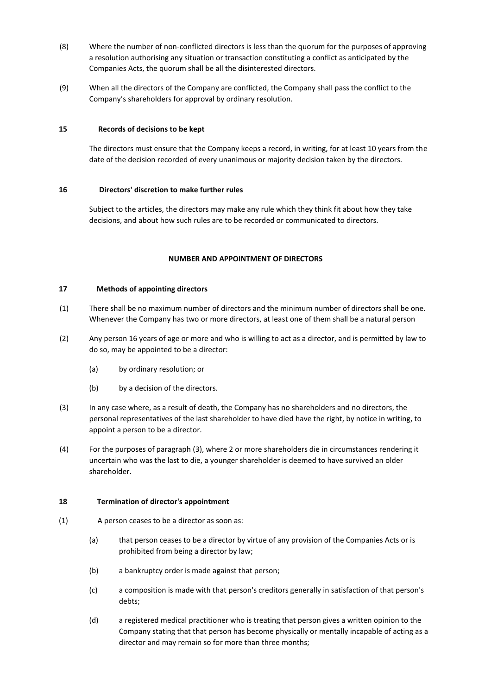- (8) Where the number of non-conflicted directors is less than the quorum for the purposes of approving a resolution authorising any situation or transaction constituting a conflict as anticipated by the Companies Acts, the quorum shall be all the disinterested directors.
- (9) When all the directors of the Company are conflicted, the Company shall pass the conflict to the Company's shareholders for approval by ordinary resolution.

## **15 Records of decisions to be kept**

The directors must ensure that the Company keeps a record, in writing, for at least 10 years from the date of the decision recorded of every unanimous or majority decision taken by the directors.

# **16 Directors' discretion to make further rules**

Subject to the articles, the directors may make any rule which they think fit about how they take decisions, and about how such rules are to be recorded or communicated to directors.

## **NUMBER AND APPOINTMENT OF DIRECTORS**

## **17 Methods of appointing directors**

- (1) There shall be no maximum number of directors and the minimum number of directors shall be one. Whenever the Company has two or more directors, at least one of them shall be a natural person
- (2) Any person 16 years of age or more and who is willing to act as a director, and is permitted by law to do so, may be appointed to be a director:
	- (a) by ordinary resolution; or
	- (b) by a decision of the directors.
- (3) In any case where, as a result of death, the Company has no shareholders and no directors, the personal representatives of the last shareholder to have died have the right, by notice in writing, to appoint a person to be a director.
- (4) For the purposes of paragraph (3), where 2 or more shareholders die in circumstances rendering it uncertain who was the last to die, a younger shareholder is deemed to have survived an older shareholder.

## **18 Termination of director's appointment**

- (1) A person ceases to be a director as soon as:
	- (a) that person ceases to be a director by virtue of any provision of the Companies Acts or is prohibited from being a director by law;
	- (b) a bankruptcy order is made against that person;
	- (c) a composition is made with that person's creditors generally in satisfaction of that person's debts;
	- (d) a registered medical practitioner who is treating that person gives a written opinion to the Company stating that that person has become physically or mentally incapable of acting as a director and may remain so for more than three months;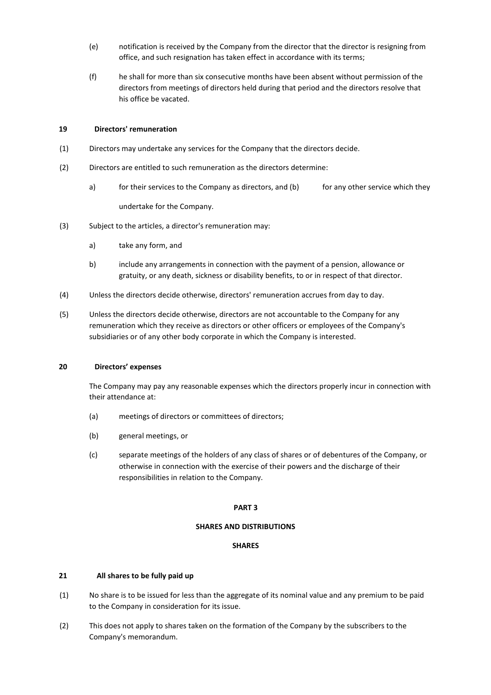- (e) notification is received by the Company from the director that the director is resigning from office, and such resignation has taken effect in accordance with its terms;
- (f) he shall for more than six consecutive months have been absent without permission of the directors from meetings of directors held during that period and the directors resolve that his office be vacated.

#### **19 Directors' remuneration**

- (1) Directors may undertake any services for the Company that the directors decide.
- (2) Directors are entitled to such remuneration as the directors determine:
	- a) for their services to the Company as directors, and (b) for any other service which they undertake for the Company.
- (3) Subject to the articles, a director's remuneration may:
	- a) take any form, and
	- b) include any arrangements in connection with the payment of a pension, allowance or gratuity, or any death, sickness or disability benefits, to or in respect of that director.
- (4) Unless the directors decide otherwise, directors' remuneration accrues from day to day.
- (5) Unless the directors decide otherwise, directors are not accountable to the Company for any remuneration which they receive as directors or other officers or employees of the Company's subsidiaries or of any other body corporate in which the Company is interested.

#### **20 Directors' expenses**

The Company may pay any reasonable expenses which the directors properly incur in connection with their attendance at:

- (a) meetings of directors or committees of directors;
- (b) general meetings, or
- (c) separate meetings of the holders of any class of shares or of debentures of the Company, or otherwise in connection with the exercise of their powers and the discharge of their responsibilities in relation to the Company.

## **PART 3**

#### **SHARES AND DISTRIBUTIONS**

#### **SHARES**

#### **21 All shares to be fully paid up**

- (1) No share is to be issued for less than the aggregate of its nominal value and any premium to be paid to the Company in consideration for its issue.
- (2) This does not apply to shares taken on the formation of the Company by the subscribers to the Company's memorandum.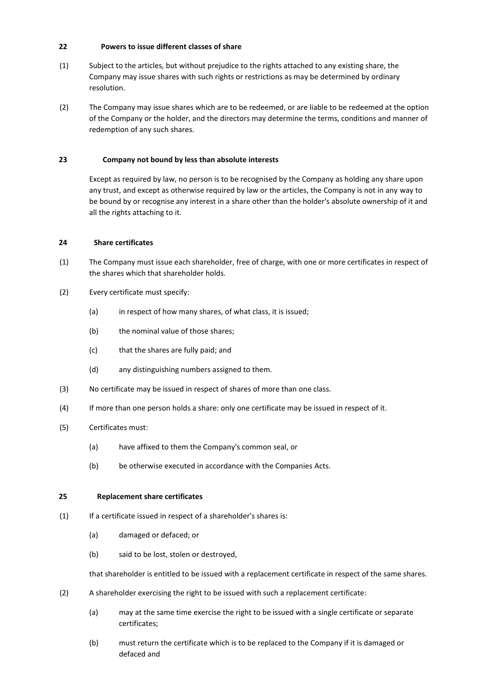# **22 Powers to issue different classes of share**

- (1) Subject to the articles, but without prejudice to the rights attached to any existing share, the Company may issue shares with such rights or restrictions as may be determined by ordinary resolution.
- (2) The Company may issue shares which are to be redeemed, or are liable to be redeemed at the option of the Company or the holder, and the directors may determine the terms, conditions and manner of redemption of any such shares.

# **23 Company not bound by less than absolute interests**

Except as required by law, no person is to be recognised by the Company as holding any share upon any trust, and except as otherwise required by law or the articles, the Company is not in any way to be bound by or recognise any interest in a share other than the holder's absolute ownership of it and all the rights attaching to it.

# **24 Share certificates**

- (1) The Company must issue each shareholder, free of charge, with one or more certificates in respect of the shares which that shareholder holds.
- (2) Every certificate must specify:
	- (a) in respect of how many shares, of what class, it is issued;
	- (b) the nominal value of those shares;
	- (c) that the shares are fully paid; and
	- (d) any distinguishing numbers assigned to them.
- (3) No certificate may be issued in respect of shares of more than one class.
- (4) If more than one person holds a share: only one certificate may be issued in respect of it.
- (5) Certificates must:
	- (a) have affixed to them the Company's common seal, or
	- (b) be otherwise executed in accordance with the Companies Acts.

## **25 Replacement share certificates**

- (1) If a certificate issued in respect of a shareholder's shares is:
	- (a) damaged or defaced; or
	- (b) said to be lost, stolen or destroyed,

that shareholder is entitled to be issued with a replacement certificate in respect of the same shares.

- (2) A shareholder exercising the right to be issued with such a replacement certificate:
	- (a) may at the same time exercise the right to be issued with a single certificate or separate certificates;
	- (b) must return the certificate which is to be replaced to the Company if it is damaged or defaced and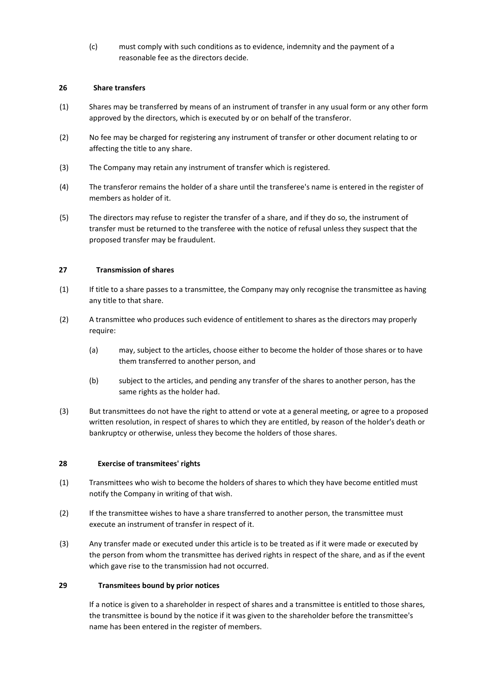(c) must comply with such conditions as to evidence, indemnity and the payment of a reasonable fee as the directors decide.

## **26 Share transfers**

- (1) Shares may be transferred by means of an instrument of transfer in any usual form or any other form approved by the directors, which is executed by or on behalf of the transferor.
- (2) No fee may be charged for registering any instrument of transfer or other document relating to or affecting the title to any share.
- (3) The Company may retain any instrument of transfer which is registered.
- (4) The transferor remains the holder of a share until the transferee's name is entered in the register of members as holder of it.
- (5) The directors may refuse to register the transfer of a share, and if they do so, the instrument of transfer must be returned to the transferee with the notice of refusal unless they suspect that the proposed transfer may be fraudulent.

# **27 Transmission of shares**

- (1) If title to a share passes to a transmittee, the Company may only recognise the transmittee as having any title to that share.
- (2) A transmittee who produces such evidence of entitlement to shares as the directors may properly require:
	- (a) may, subject to the articles, choose either to become the holder of those shares or to have them transferred to another person, and
	- (b) subject to the articles, and pending any transfer of the shares to another person, has the same rights as the holder had.
- (3) But transmittees do not have the right to attend or vote at a general meeting, or agree to a proposed written resolution, in respect of shares to which they are entitled, by reason of the holder's death or bankruptcy or otherwise, unless they become the holders of those shares.

## **28 Exercise of transmitees' rights**

- (1) Transmittees who wish to become the holders of shares to which they have become entitled must notify the Company in writing of that wish.
- (2) If the transmittee wishes to have a share transferred to another person, the transmittee must execute an instrument of transfer in respect of it.
- (3) Any transfer made or executed under this article is to be treated as if it were made or executed by the person from whom the transmittee has derived rights in respect of the share, and as if the event which gave rise to the transmission had not occurred.

# **29 Transmitees bound by prior notices**

If a notice is given to a shareholder in respect of shares and a transmittee is entitled to those shares, the transmittee is bound by the notice if it was given to the shareholder before the transmittee's name has been entered in the register of members.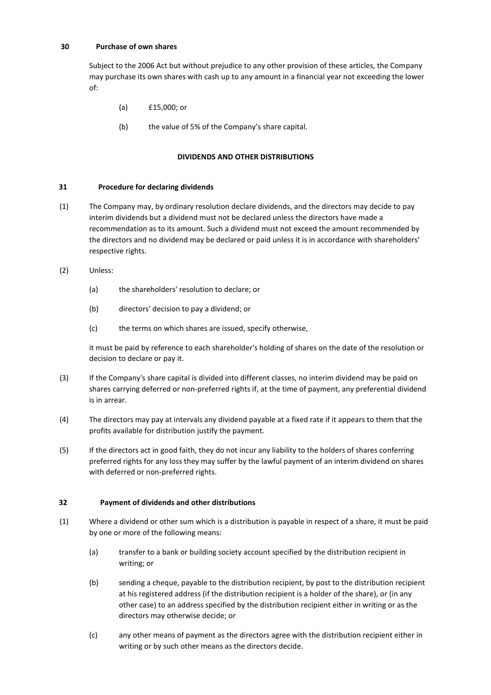## **30 Purchase of own shares**

Subject to the 2006 Act but without prejudice to any other provision of these articles, the Company may purchase its own shares with cash up to any amount in a financial year not exceeding the lower of:

- (a) £15,000; or
- (b) the value of 5% of the Company's share capital.

## **DIVIDENDS AND OTHER DISTRIBUTIONS**

## **31 Procedure for declaring dividends**

- (1) The Company may, by ordinary resolution declare dividends, and the directors may decide to pay interim dividends but a dividend must not be declared unless the directors have made a recommendation as to its amount. Such a dividend must not exceed the amount recommended by the directors and no dividend may be declared or paid unless it is in accordance with shareholders' respective rights.
- (2) Unless:
	- (a) the shareholders' resolution to declare; or
	- (b) directors' decision to pay a dividend; or
	- (c) the terms on which shares are issued, specify otherwise,

it must be paid by reference to each shareholder's holding of shares on the date of the resolution or decision to declare or pay it.

- (3) If the Company's share capital is divided into different classes, no interim dividend may be paid on shares carrying deferred or non-preferred rights if, at the time of payment, any preferential dividend is in arrear.
- (4) The directors may pay at intervals any dividend payable at a fixed rate if it appears to them that the profits available for distribution justify the payment.
- (5) If the directors act in good faith, they do not incur any liability to the holders of shares conferring preferred rights for any loss they may suffer by the lawful payment of an interim dividend on shares with deferred or non-preferred rights.

## **32 Payment of dividends and other distributions**

- (1) Where a dividend or other sum which is a distribution is payable in respect of a share, it must be paid by one or more of the following means:
	- (a) transfer to a bank or building society account specified by the distribution recipient in writing; or
	- (b) sending a cheque, payable to the distribution recipient, by post to the distribution recipient at his registered address (if the distribution recipient is a holder of the share), or (in any other case) to an address specified by the distribution recipient either in writing or as the directors may otherwise decide; or
	- (c) any other means of payment as the directors agree with the distribution recipient either in writing or by such other means as the directors decide.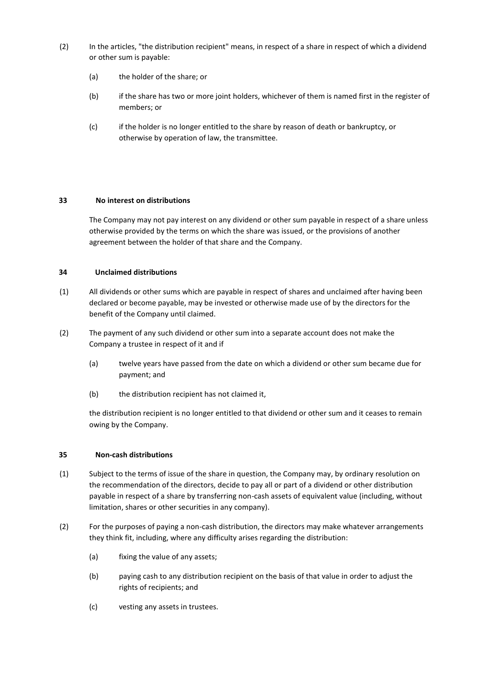- (2) In the articles, "the distribution recipient" means, in respect of a share in respect of which a dividend or other sum is payable:
	- (a) the holder of the share; or
	- (b) if the share has two or more joint holders, whichever of them is named first in the register of members; or
	- (c) if the holder is no longer entitled to the share by reason of death or bankruptcy, or otherwise by operation of law, the transmittee.

## **33 No interest on distributions**

The Company may not pay interest on any dividend or other sum payable in respect of a share unless otherwise provided by the terms on which the share was issued, or the provisions of another agreement between the holder of that share and the Company.

# **34 Unclaimed distributions**

- (1) All dividends or other sums which are payable in respect of shares and unclaimed after having been declared or become payable, may be invested or otherwise made use of by the directors for the benefit of the Company until claimed.
- (2) The payment of any such dividend or other sum into a separate account does not make the Company a trustee in respect of it and if
	- (a) twelve years have passed from the date on which a dividend or other sum became due for payment; and
	- (b) the distribution recipient has not claimed it,

the distribution recipient is no longer entitled to that dividend or other sum and it ceases to remain owing by the Company.

## **35 Non-cash distributions**

- (1) Subject to the terms of issue of the share in question, the Company may, by ordinary resolution on the recommendation of the directors, decide to pay all or part of a dividend or other distribution payable in respect of a share by transferring non-cash assets of equivalent value (including, without limitation, shares or other securities in any company).
- (2) For the purposes of paying a non-cash distribution, the directors may make whatever arrangements they think fit, including, where any difficulty arises regarding the distribution:
	- (a) fixing the value of any assets;
	- (b) paying cash to any distribution recipient on the basis of that value in order to adjust the rights of recipients; and
	- (c) vesting any assets in trustees.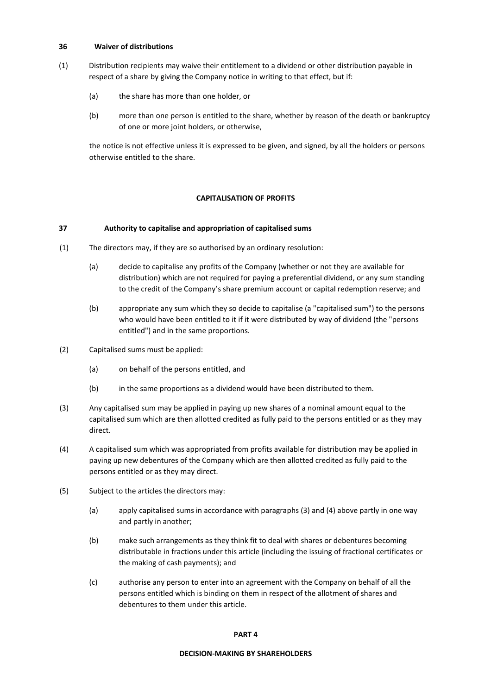#### **36 Waiver of distributions**

- (1) Distribution recipients may waive their entitlement to a dividend or other distribution payable in respect of a share by giving the Company notice in writing to that effect, but if:
	- (a) the share has more than one holder, or
	- (b) more than one person is entitled to the share, whether by reason of the death or bankruptcy of one or more joint holders, or otherwise,

the notice is not effective unless it is expressed to be given, and signed, by all the holders or persons otherwise entitled to the share.

## **CAPITALISATION OF PROFITS**

## **37 Authority to capitalise and appropriation of capitalised sums**

- (1) The directors may, if they are so authorised by an ordinary resolution:
	- (a) decide to capitalise any profits of the Company (whether or not they are available for distribution) which are not required for paying a preferential dividend, or any sum standing to the credit of the Company's share premium account or capital redemption reserve; and
	- (b) appropriate any sum which they so decide to capitalise (a "capitalised sum") to the persons who would have been entitled to it if it were distributed by way of dividend (the "persons entitled") and in the same proportions.
- (2) Capitalised sums must be applied:
	- (a) on behalf of the persons entitled, and
	- (b) in the same proportions as a dividend would have been distributed to them.
- (3) Any capitalised sum may be applied in paying up new shares of a nominal amount equal to the capitalised sum which are then allotted credited as fully paid to the persons entitled or as they may direct.
- (4) A capitalised sum which was appropriated from profits available for distribution may be applied in paying up new debentures of the Company which are then allotted credited as fully paid to the persons entitled or as they may direct.
- (5) Subject to the articles the directors may:
	- (a) apply capitalised sums in accordance with paragraphs (3) and (4) above partly in one way and partly in another;
	- (b) make such arrangements as they think fit to deal with shares or debentures becoming distributable in fractions under this article (including the issuing of fractional certificates or the making of cash payments); and
	- (c) authorise any person to enter into an agreement with the Company on behalf of all the persons entitled which is binding on them in respect of the allotment of shares and debentures to them under this article.

#### **PART 4**

#### **DECISION-MAKING BY SHAREHOLDERS**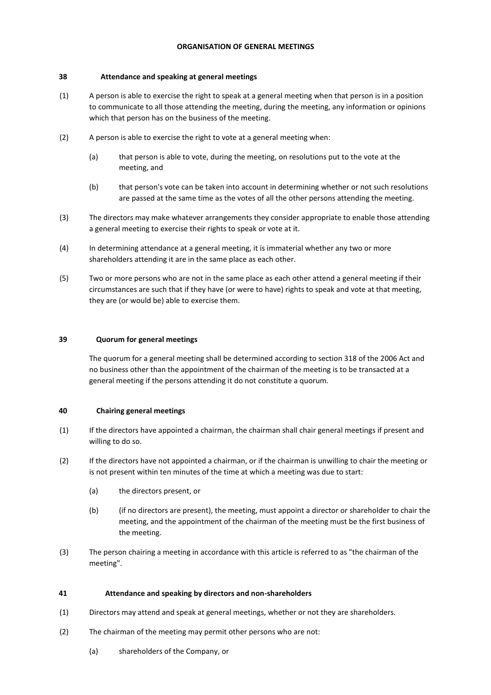#### **ORGANISATION OF GENERAL MEETINGS**

## **38 Attendance and speaking at general meetings**

- (1) A person is able to exercise the right to speak at a general meeting when that person is in a position to communicate to all those attending the meeting, during the meeting, any information or opinions which that person has on the business of the meeting.
- (2) A person is able to exercise the right to vote at a general meeting when:
	- (a) that person is able to vote, during the meeting, on resolutions put to the vote at the meeting, and
	- (b) that person's vote can be taken into account in determining whether or not such resolutions are passed at the same time as the votes of all the other persons attending the meeting.
- (3) The directors may make whatever arrangements they consider appropriate to enable those attending a general meeting to exercise their rights to speak or vote at it.
- (4) In determining attendance at a general meeting, it is immaterial whether any two or more shareholders attending it are in the same place as each other.
- (5) Two or more persons who are not in the same place as each other attend a general meeting if their circumstances are such that if they have (or were to have) rights to speak and vote at that meeting, they are (or would be) able to exercise them.

#### **39 Quorum for general meetings**

The quorum for a general meeting shall be determined according to section 318 of the 2006 Act and no business other than the appointment of the chairman of the meeting is to be transacted at a general meeting if the persons attending it do not constitute a quorum.

# **40 Chairing general meetings**

- (1) If the directors have appointed a chairman, the chairman shall chair general meetings if present and willing to do so.
- (2) If the directors have not appointed a chairman, or if the chairman is unwilling to chair the meeting or is not present within ten minutes of the time at which a meeting was due to start:
	- (a) the directors present, or
	- (b) (if no directors are present), the meeting, must appoint a director or shareholder to chair the meeting, and the appointment of the chairman of the meeting must be the first business of the meeting.
- (3) The person chairing a meeting in accordance with this article is referred to as "the chairman of the meeting".

## **41 Attendance and speaking by directors and non-shareholders**

- (1) Directors may attend and speak at general meetings, whether or not they are shareholders.
- (2) The chairman of the meeting may permit other persons who are not:
	- (a) shareholders of the Company, or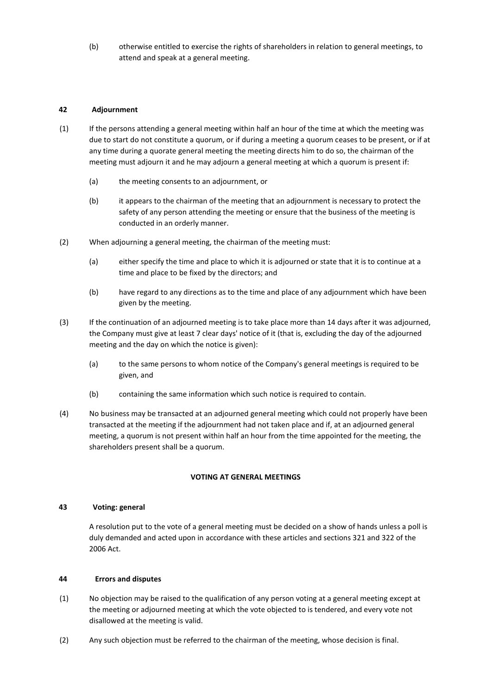(b) otherwise entitled to exercise the rights of shareholders in relation to general meetings, to attend and speak at a general meeting.

# **42 Adjournment**

- (1) If the persons attending a general meeting within half an hour of the time at which the meeting was due to start do not constitute a quorum, or if during a meeting a quorum ceases to be present, or if at any time during a quorate general meeting the meeting directs him to do so, the chairman of the meeting must adjourn it and he may adjourn a general meeting at which a quorum is present if:
	- (a) the meeting consents to an adjournment, or
	- (b) it appears to the chairman of the meeting that an adjournment is necessary to protect the safety of any person attending the meeting or ensure that the business of the meeting is conducted in an orderly manner.
- (2) When adjourning a general meeting, the chairman of the meeting must:
	- (a) either specify the time and place to which it is adjourned or state that it is to continue at a time and place to be fixed by the directors; and
	- (b) have regard to any directions as to the time and place of any adjournment which have been given by the meeting.
- (3) If the continuation of an adjourned meeting is to take place more than 14 days after it was adjourned, the Company must give at least 7 clear days' notice of it (that is, excluding the day of the adjourned meeting and the day on which the notice is given):
	- (a) to the same persons to whom notice of the Company's general meetings is required to be given, and
	- (b) containing the same information which such notice is required to contain.
- (4) No business may be transacted at an adjourned general meeting which could not properly have been transacted at the meeting if the adjournment had not taken place and if, at an adjourned general meeting, a quorum is not present within half an hour from the time appointed for the meeting, the shareholders present shall be a quorum.

## **VOTING AT GENERAL MEETINGS**

## **43 Voting: general**

A resolution put to the vote of a general meeting must be decided on a show of hands unless a poll is duly demanded and acted upon in accordance with these articles and sections 321 and 322 of the 2006 Act.

## **44 Errors and disputes**

- (1) No objection may be raised to the qualification of any person voting at a general meeting except at the meeting or adjourned meeting at which the vote objected to is tendered, and every vote not disallowed at the meeting is valid.
- (2) Any such objection must be referred to the chairman of the meeting, whose decision is final.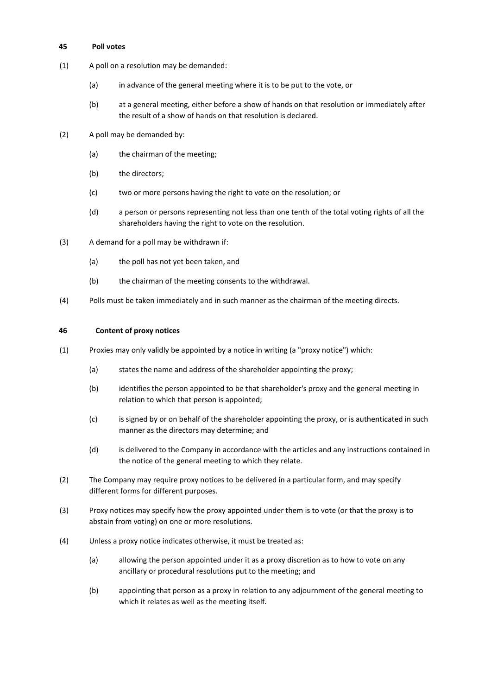#### **45 Poll votes**

- (1) A poll on a resolution may be demanded:
	- (a) in advance of the general meeting where it is to be put to the vote, or
	- (b) at a general meeting, either before a show of hands on that resolution or immediately after the result of a show of hands on that resolution is declared.
- (2) A poll may be demanded by:
	- (a) the chairman of the meeting;
	- (b) the directors;
	- (c) two or more persons having the right to vote on the resolution; or
	- (d) a person or persons representing not less than one tenth of the total voting rights of all the shareholders having the right to vote on the resolution.
- (3) A demand for a poll may be withdrawn if:
	- (a) the poll has not yet been taken, and
	- (b) the chairman of the meeting consents to the withdrawal.
- (4) Polls must be taken immediately and in such manner as the chairman of the meeting directs.

#### **46 Content of proxy notices**

- (1) Proxies may only validly be appointed by a notice in writing (a "proxy notice") which:
	- (a) states the name and address of the shareholder appointing the proxy;
	- (b) identifies the person appointed to be that shareholder's proxy and the general meeting in relation to which that person is appointed;
	- (c) is signed by or on behalf of the shareholder appointing the proxy, or is authenticated in such manner as the directors may determine; and
	- (d) is delivered to the Company in accordance with the articles and any instructions contained in the notice of the general meeting to which they relate.
- (2) The Company may require proxy notices to be delivered in a particular form, and may specify different forms for different purposes.
- (3) Proxy notices may specify how the proxy appointed under them is to vote (or that the proxy is to abstain from voting) on one or more resolutions.
- (4) Unless a proxy notice indicates otherwise, it must be treated as:
	- (a) allowing the person appointed under it as a proxy discretion as to how to vote on any ancillary or procedural resolutions put to the meeting; and
	- (b) appointing that person as a proxy in relation to any adjournment of the general meeting to which it relates as well as the meeting itself.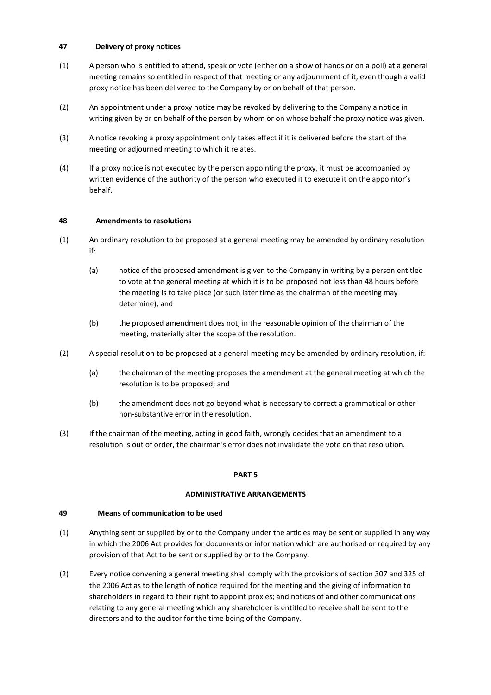# **47 Delivery of proxy notices**

- (1) A person who is entitled to attend, speak or vote (either on a show of hands or on a poll) at a general meeting remains so entitled in respect of that meeting or any adjournment of it, even though a valid proxy notice has been delivered to the Company by or on behalf of that person.
- (2) An appointment under a proxy notice may be revoked by delivering to the Company a notice in writing given by or on behalf of the person by whom or on whose behalf the proxy notice was given.
- (3) A notice revoking a proxy appointment only takes effect if it is delivered before the start of the meeting or adjourned meeting to which it relates.
- (4) If a proxy notice is not executed by the person appointing the proxy, it must be accompanied by written evidence of the authority of the person who executed it to execute it on the appointor's behalf.

## **48 Amendments to resolutions**

- (1) An ordinary resolution to be proposed at a general meeting may be amended by ordinary resolution if:
	- (a) notice of the proposed amendment is given to the Company in writing by a person entitled to vote at the general meeting at which it is to be proposed not less than 48 hours before the meeting is to take place (or such later time as the chairman of the meeting may determine), and
	- (b) the proposed amendment does not, in the reasonable opinion of the chairman of the meeting, materially alter the scope of the resolution.
- (2) A special resolution to be proposed at a general meeting may be amended by ordinary resolution, if:
	- (a) the chairman of the meeting proposes the amendment at the general meeting at which the resolution is to be proposed; and
	- (b) the amendment does not go beyond what is necessary to correct a grammatical or other non-substantive error in the resolution.
- (3) If the chairman of the meeting, acting in good faith, wrongly decides that an amendment to a resolution is out of order, the chairman's error does not invalidate the vote on that resolution.

## **PART 5**

## **ADMINISTRATIVE ARRANGEMENTS**

## **49 Means of communication to be used**

- (1) Anything sent or supplied by or to the Company under the articles may be sent or supplied in any way in which the 2006 Act provides for documents or information which are authorised or required by any provision of that Act to be sent or supplied by or to the Company.
- (2) Every notice convening a general meeting shall comply with the provisions of section 307 and 325 of the 2006 Act as to the length of notice required for the meeting and the giving of information to shareholders in regard to their right to appoint proxies; and notices of and other communications relating to any general meeting which any shareholder is entitled to receive shall be sent to the directors and to the auditor for the time being of the Company.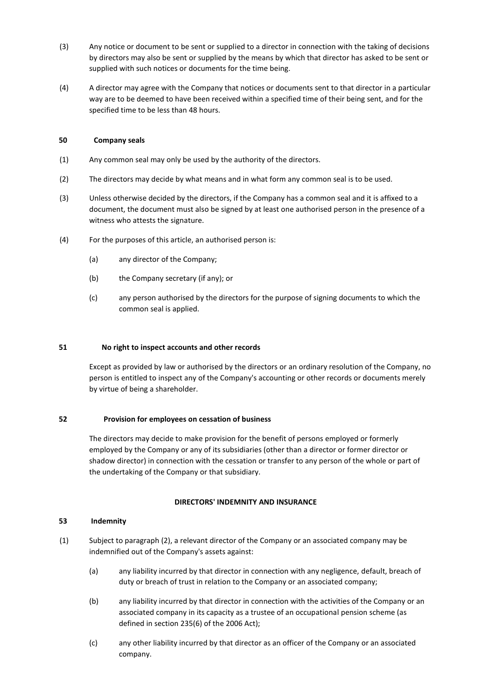- (3) Any notice or document to be sent or supplied to a director in connection with the taking of decisions by directors may also be sent or supplied by the means by which that director has asked to be sent or supplied with such notices or documents for the time being.
- (4) A director may agree with the Company that notices or documents sent to that director in a particular way are to be deemed to have been received within a specified time of their being sent, and for the specified time to be less than 48 hours.

# **50 Company seals**

- (1) Any common seal may only be used by the authority of the directors.
- (2) The directors may decide by what means and in what form any common seal is to be used.
- (3) Unless otherwise decided by the directors, if the Company has a common seal and it is affixed to a document, the document must also be signed by at least one authorised person in the presence of a witness who attests the signature.
- (4) For the purposes of this article, an authorised person is:
	- (a) any director of the Company;
	- (b) the Company secretary (if any); or
	- (c) any person authorised by the directors for the purpose of signing documents to which the common seal is applied.

#### **51 No right to inspect accounts and other records**

Except as provided by law or authorised by the directors or an ordinary resolution of the Company, no person is entitled to inspect any of the Company's accounting or other records or documents merely by virtue of being a shareholder.

#### **52 Provision for employees on cessation of business**

The directors may decide to make provision for the benefit of persons employed or formerly employed by the Company or any of its subsidiaries (other than a director or former director or shadow director) in connection with the cessation or transfer to any person of the whole or part of the undertaking of the Company or that subsidiary.

#### **DIRECTORS' INDEMNITY AND INSURANCE**

#### **53 Indemnity**

- (1) Subject to paragraph (2), a relevant director of the Company or an associated company may be indemnified out of the Company's assets against:
	- (a) any liability incurred by that director in connection with any negligence, default, breach of duty or breach of trust in relation to the Company or an associated company;
	- (b) any liability incurred by that director in connection with the activities of the Company or an associated company in its capacity as a trustee of an occupational pension scheme (as defined in section 235(6) of the 2006 Act);
	- (c) any other liability incurred by that director as an officer of the Company or an associated company.